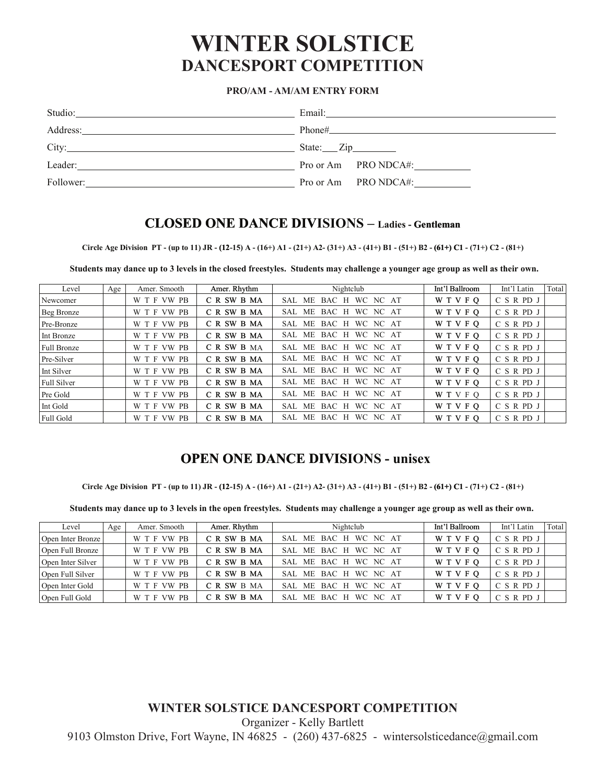# **WINTER SOLSTICE DANCESPORT COMPETITION**

#### **PRO/AM - AM/AM ENTRY FORM**

| Studio:<br><u> 1989 - Andrea Stadt Britain, fransk politik (d. 1989)</u>                                                                                                                                                      |                      |
|-------------------------------------------------------------------------------------------------------------------------------------------------------------------------------------------------------------------------------|----------------------|
|                                                                                                                                                                                                                               |                      |
|                                                                                                                                                                                                                               | State: $\angle$ Zip  |
| Leader:                                                                                                                                                                                                                       | Pro or Am PRO NDCA#: |
| Follower: 2008 Contract Contract Contract Contract Contract Contract Contract Contract Contract Contract Contract Contract Contract Contract Contract Contract Contract Contract Contract Contract Contract Contract Contract | Pro or Am PRO NDCA#: |

# **CLOSED ONE DANCE DIV ONEDIVISIONS – Ladies - Gentleman Gentleman**

Circle Age Division PT - (up to 11) JR - (12-15) A - (16+) A1 - (21+) A2- (31+) A3 - (41+) B1 - (51+) B2 - (61+) C1 - (71+) C2 - (81+)

**Students may dance up to 3 levels in the closed freestyles. Students may challenge a younger age group as well as their own.**

| Level              | Age | Amer. Smooth | Amer. Rhythm | Nightclub                | Int'l Ballroom | Int'l Latin | Total |
|--------------------|-----|--------------|--------------|--------------------------|----------------|-------------|-------|
| Newcomer           |     | W T F VW PB  | C R SW B MA  | WC NC AT<br>SAL ME BAC H | W T V F O      | C S R PD J  |       |
| Beg Bronze         |     | W T F VW PB  | C R SW B MA  | SAL ME BAC H WC NC AT    | W T V F O      | C S R PD J  |       |
| Pre-Bronze         |     | W T F VW PB  | C R SW B MA  | SAL ME BAC H WC NC AT    | W T V F O      | C S R PD J  |       |
| Int Bronze         |     | W T F VW PB  | C R SW B MA  | SAL ME BAC H WC NC AT    | W T V F O      | C S R PD J  |       |
| <b>Full Bronze</b> |     | W T F VW PB  | C R SW B MA  | SAL ME BAC H WC NC AT    | W T V F O      | C S R PD J  |       |
| Pre-Silver         |     | W T F VW PB  | C R SW B MA  | SAL ME BAC H WC NC AT    | W T V F O      | C S R PD J  |       |
| Int Silver         |     | W T F VW PB  | C R SW B MA  | SAL ME BAC H WC NC AT    | W T V F O      | C S R PD J  |       |
| Full Silver        |     | W T F VW PB  | C R SW B MA  | SAL ME BAC H WC NC AT    | <b>WTVFO</b>   | C S R PD J  |       |
| Pre Gold           |     | W T F VW PB  | C R SW B MA  | SAL ME BAC H WC NC AT    | W T V F O      | C S R PD J  |       |
| Int Gold           |     | W T F VW PB  | C R SW B MA  | SAL ME BAC H WC NC AT    | W T V F O      | C S R PD J  |       |
| <b>Full Gold</b>   |     | W T F VW PB  | C R SW B MA  | SAL ME BAC H WC NC AT    | W T V F O      | C S R PD J  |       |

# **OPEN ONE DANCE DIVIS OPENDIVISIONS - unisex**

Circle Age Division PT - (up to 11) JR - (12-15) A - (16+) A1 - (21+) A2- (31+) A3 - (41+) B1 - (51+) B2 - (61+) C1 - (71+) C2 - (81+)

**Students may dance up to 3 levels in the open freestyles. Students may challenge a younger age group as well as their own.**

| Level             | Age | Amer. Smooth  | Amer. Rhythm | Nightclub             | Int'l Ballroom | Int'l Latin | Total |
|-------------------|-----|---------------|--------------|-----------------------|----------------|-------------|-------|
| Open Inter Bronze |     | W T F VW PB   | C R SW B MA  | SAL ME BAC H WC NC AT | W T V F O      | C S R PD J  |       |
| Open Full Bronze  |     | W T F VW PB   | C R SW B MA  | SAL ME BAC H WC NC AT | W T V F O      | C S R PD J  |       |
| Open Inter Silver |     | W T F VW PB   | C R SW B MA  | SAL ME BAC H WC NC AT | W T V F O      | C S R PD J  |       |
| Open Full Silver  |     | W T F VW PB   | C R SW B MA  | SAL ME BAC H WC NC AT | W T V F O      | C S R PD J  |       |
| Open Inter Gold   |     | W T F VW PB   | C R SW B MA  | SAL ME BAC H WC NC AT | W T V F O      | C S R PD J  |       |
| Open Full Gold    |     | F VW PB<br>WТ | C R SW B MA  | SAL ME BAC H WC NC AT | W T V F O      | C S R PD J  |       |

**WINTER SOLSTICE DANCESPORT COMPETITION**

Organizer - Kelly Bartlett

9103 Olmston Drive, Fort Wayne, IN 46825 - (260) 437-6825 - wintersolsticedance@gmail.com